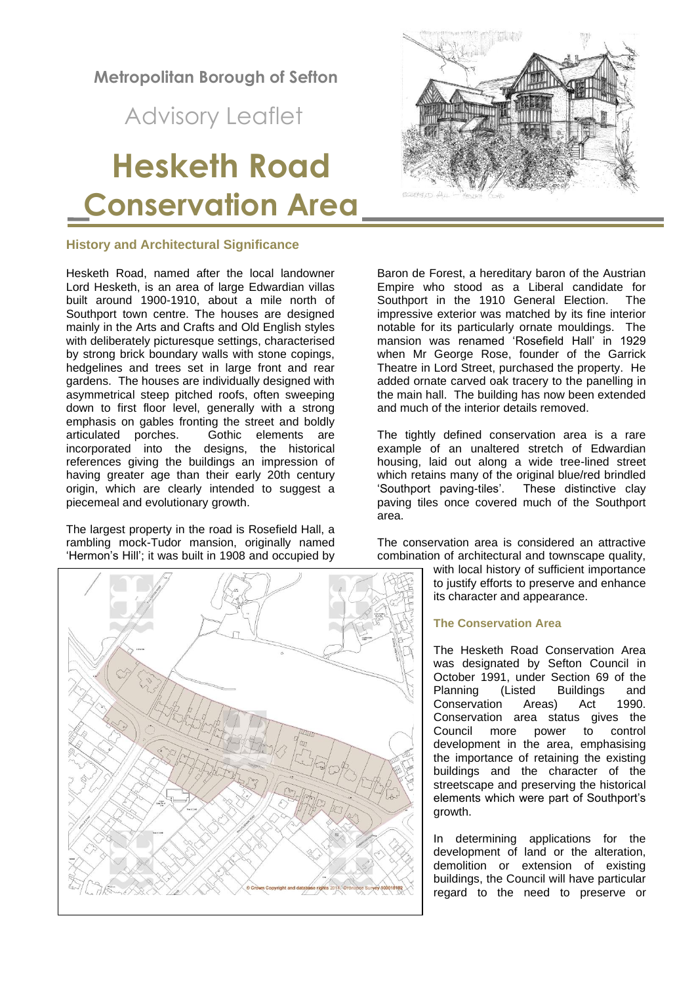**Metropolitan Borough of Sefton**

Advisory Leaflet

# **Hesketh Road Conservation Area**

# **History and Architectural Significance**

Hesketh Road, named after the local landowner Lord Hesketh, is an area of large Edwardian villas built around 1900-1910, about a mile north of Southport town centre. The houses are designed mainly in the Arts and Crafts and Old English styles with deliberately picturesque settings, characterised by strong brick boundary walls with stone copings, hedgelines and trees set in large front and rear gardens. The houses are individually designed with asymmetrical steep pitched roofs, often sweeping down to first floor level, generally with a strong emphasis on gables fronting the street and boldly<br>articulated porches. Gothic elements are Gothic elements are incorporated into the designs, the historical references giving the buildings an impression of having greater age than their early 20th century origin, which are clearly intended to suggest a piecemeal and evolutionary growth.

The largest property in the road is Rosefield Hall, a rambling mock-Tudor mansion, originally named 'Hermon's Hill'; it was built in 1908 and occupied by





Baron de Forest, a hereditary baron of the Austrian Empire who stood as a Liberal candidate for Southport in the 1910 General Election. The impressive exterior was matched by its fine interior notable for its particularly ornate mouldings. The mansion was renamed 'Rosefield Hall' in 1929 when Mr George Rose, founder of the Garrick Theatre in Lord Street, purchased the property. He added ornate carved oak tracery to the panelling in the main hall. The building has now been extended and much of the interior details removed.

The tightly defined conservation area is a rare example of an unaltered stretch of Edwardian housing, laid out along a wide tree-lined street which retains many of the original blue/red brindled 'Southport paving-tiles'. These distinctive clay paving tiles once covered much of the Southport area.

The conservation area is considered an attractive combination of architectural and townscape quality,

> with local history of sufficient importance to justify efforts to preserve and enhance its character and appearance.

# **The Conservation Area**

The Hesketh Road Conservation Area was designated by Sefton Council in October 1991, under Section 69 of the Planning (Listed Buildings and Conservation Areas) Act 1990. Conservation area status gives the Council more power to control development in the area, emphasising the importance of retaining the existing buildings and the character of the streetscape and preserving the historical elements which were part of Southport's growth.

In determining applications for the development of land or the alteration, demolition or extension of existing buildings, the Council will have particular regard to the need to preserve or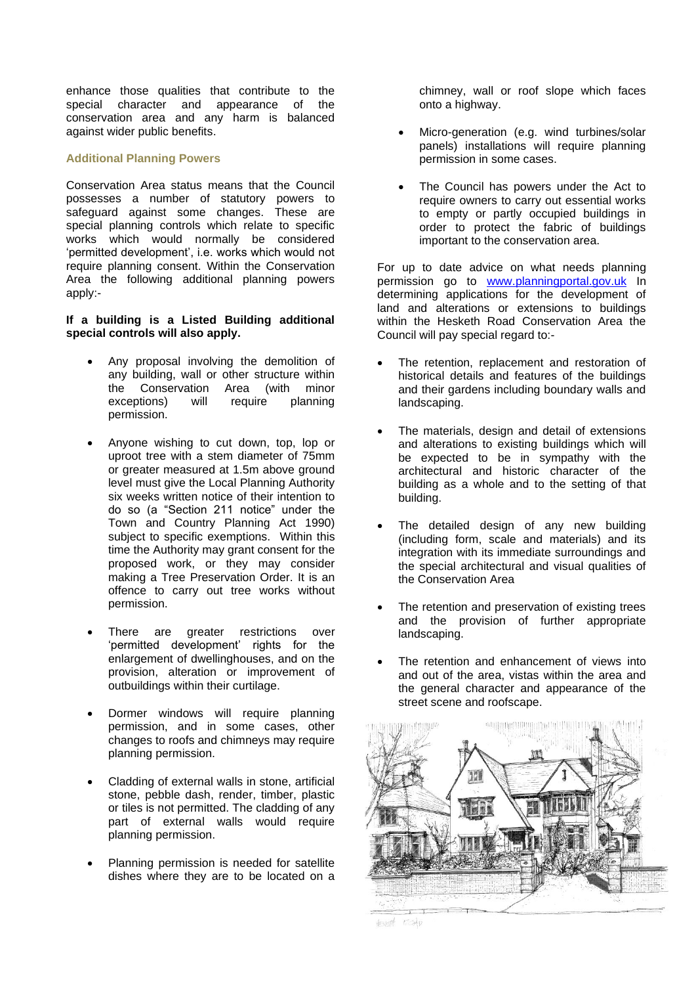enhance those qualities that contribute to the special character and appearance of the conservation area and any harm is balanced against wider public benefits.

# **Additional Planning Powers**

Conservation Area status means that the Council possesses a number of statutory powers to safeguard against some changes. These are special planning controls which relate to specific works which would normally be considered 'permitted development', i.e. works which would not require planning consent. Within the Conservation Area the following additional planning powers apply:-

# **If a building is a Listed Building additional special controls will also apply.**

- Any proposal involving the demolition of any building, wall or other structure within the Conservation Area (with minor exceptions) will require planning permission.
- Anyone wishing to cut down, top, lop or uproot tree with a stem diameter of 75mm or greater measured at 1.5m above ground level must give the Local Planning Authority six weeks written notice of their intention to do so (a "Section 211 notice" under the Town and Country Planning Act 1990) subject to specific exemptions. Within this time the Authority may grant consent for the proposed work, or they may consider making a Tree Preservation Order. It is an offence to carry out tree works without permission.
- There are greater restrictions over 'permitted development' rights for the enlargement of dwellinghouses, and on the provision, alteration or improvement of outbuildings within their curtilage.
- Dormer windows will require planning permission, and in some cases, other changes to roofs and chimneys may require planning permission.
- Cladding of external walls in stone, artificial stone, pebble dash, render, timber, plastic or tiles is not permitted. The cladding of any part of external walls would require planning permission.
- Planning permission is needed for satellite dishes where they are to be located on a

chimney, wall or roof slope which faces onto a highway.

- Micro-generation (e.g. wind turbines/solar panels) installations will require planning permission in some cases.
- The Council has powers under the Act to require owners to carry out essential works to empty or partly occupied buildings in order to protect the fabric of buildings important to the conservation area.

For up to date advice on what needs planning permission go to [www.planningportal.gov.uk](http://www.planningportal.gov.uk/) In determining applications for the development of land and alterations or extensions to buildings within the Hesketh Road Conservation Area the Council will pay special regard to:-

- The retention, replacement and restoration of historical details and features of the buildings and their gardens including boundary walls and landscaping.
- The materials, design and detail of extensions and alterations to existing buildings which will be expected to be in sympathy with the architectural and historic character of the building as a whole and to the setting of that building.
- The detailed design of any new building (including form, scale and materials) and its integration with its immediate surroundings and the special architectural and visual qualities of the Conservation Area
- The retention and preservation of existing trees and the provision of further appropriate landscaping.
- The retention and enhancement of views into and out of the area, vistas within the area and the general character and appearance of the street scene and roofscape.



HENOTH COAD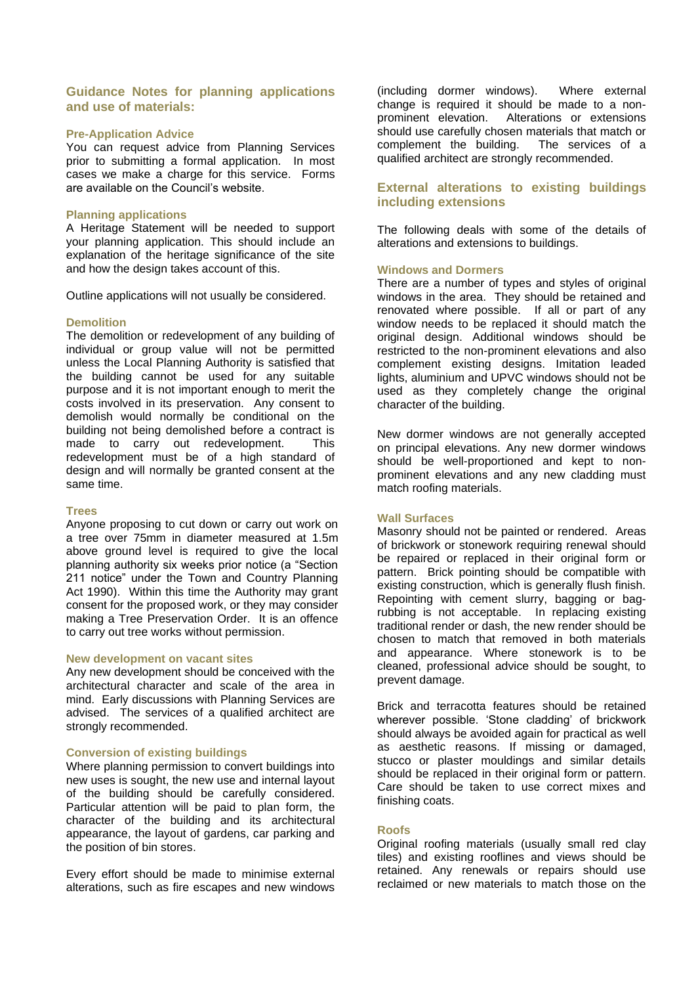# **Guidance Notes for planning applications and use of materials:**

## **Pre-Application Advice**

You can request advice from Planning Services prior to submitting a formal application. In most cases we make a charge for this service. Forms are available on the Council's website.

### **Planning applications**

A Heritage Statement will be needed to support your planning application. This should include an explanation of the heritage significance of the site and how the design takes account of this.

Outline applications will not usually be considered.

### **Demolition**

The demolition or redevelopment of any building of individual or group value will not be permitted unless the Local Planning Authority is satisfied that the building cannot be used for any suitable purpose and it is not important enough to merit the costs involved in its preservation. Any consent to demolish would normally be conditional on the building not being demolished before a contract is made to carry out redevelopment. This redevelopment must be of a high standard of design and will normally be granted consent at the same time.

## **Trees**

Anyone proposing to cut down or carry out work on a tree over 75mm in diameter measured at 1.5m above ground level is required to give the local planning authority six weeks prior notice (a "Section 211 notice" under the Town and Country Planning Act 1990). Within this time the Authority may grant consent for the proposed work, or they may consider making a Tree Preservation Order. It is an offence to carry out tree works without permission.

#### **New development on vacant sites**

Any new development should be conceived with the architectural character and scale of the area in mind. Early discussions with Planning Services are advised. The services of a qualified architect are strongly recommended.

# **Conversion of existing buildings**

Where planning permission to convert buildings into new uses is sought, the new use and internal layout of the building should be carefully considered. Particular attention will be paid to plan form, the character of the building and its architectural appearance, the layout of gardens, car parking and the position of bin stores.

Every effort should be made to minimise external alterations, such as fire escapes and new windows

(including dormer windows). Where external change is required it should be made to a nonprominent elevation. Alterations or extensions should use carefully chosen materials that match or complement the building. The services of a qualified architect are strongly recommended.

# **External alterations to existing buildings including extensions**

The following deals with some of the details of alterations and extensions to buildings.

### **Windows and Dormers**

There are a number of types and styles of original windows in the area. They should be retained and renovated where possible. If all or part of any window needs to be replaced it should match the original design. Additional windows should be restricted to the non-prominent elevations and also complement existing designs. Imitation leaded lights, aluminium and UPVC windows should not be used as they completely change the original character of the building.

New dormer windows are not generally accepted on principal elevations. Any new dormer windows should be well-proportioned and kept to nonprominent elevations and any new cladding must match roofing materials.

#### **Wall Surfaces**

Masonry should not be painted or rendered. Areas of brickwork or stonework requiring renewal should be repaired or replaced in their original form or pattern. Brick pointing should be compatible with existing construction, which is generally flush finish. Repointing with cement slurry, bagging or bagrubbing is not acceptable. In replacing existing traditional render or dash, the new render should be chosen to match that removed in both materials and appearance. Where stonework is to be cleaned, professional advice should be sought, to prevent damage.

Brick and terracotta features should be retained wherever possible. 'Stone cladding' of brickwork should always be avoided again for practical as well as aesthetic reasons. If missing or damaged, stucco or plaster mouldings and similar details should be replaced in their original form or pattern. Care should be taken to use correct mixes and finishing coats.

# **Roofs**

Original roofing materials (usually small red clay tiles) and existing rooflines and views should be retained. Any renewals or repairs should use reclaimed or new materials to match those on the